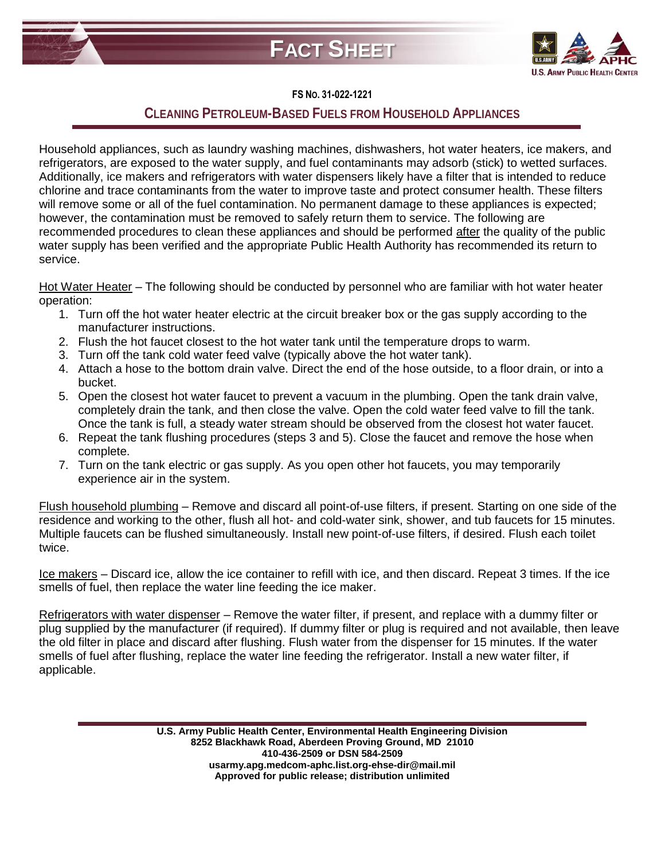



## **FS NO. 31-022-1221**

## **CLEANING PETROLEUM-BASED FUELS FROM HOUSEHOLD APPLIANCES**

Household appliances, such as laundry washing machines, dishwashers, hot water heaters, ice makers, and refrigerators, are exposed to the water supply, and fuel contaminants may adsorb (stick) to wetted surfaces. Additionally, ice makers and refrigerators with water dispensers likely have a filter that is intended to reduce chlorine and trace contaminants from the water to improve taste and protect consumer health. These filters will remove some or all of the fuel contamination. No permanent damage to these appliances is expected; however, the contamination must be removed to safely return them to service. The following are recommended procedures to clean these appliances and should be performed after the quality of the public water supply has been verified and the appropriate Public Health Authority has recommended its return to service.

Hot Water Heater – The following should be conducted by personnel who are familiar with hot water heater operation:

- 1. Turn off the hot water heater electric at the circuit breaker box or the gas supply according to the manufacturer instructions.
- 2. Flush the hot faucet closest to the hot water tank until the temperature drops to warm.
- 3. Turn off the tank cold water feed valve (typically above the hot water tank).
- 4. Attach a hose to the bottom drain valve. Direct the end of the hose outside, to a floor drain, or into a bucket.
- 5. Open the closest hot water faucet to prevent a vacuum in the plumbing. Open the tank drain valve, completely drain the tank, and then close the valve. Open the cold water feed valve to fill the tank. Once the tank is full, a steady water stream should be observed from the closest hot water faucet.
- 6. Repeat the tank flushing procedures (steps 3 and 5). Close the faucet and remove the hose when complete.
- 7. Turn on the tank electric or gas supply. As you open other hot faucets, you may temporarily experience air in the system.

Flush household plumbing – Remove and discard all point-of-use filters, if present. Starting on one side of the residence and working to the other, flush all hot- and cold-water sink, shower, and tub faucets for 15 minutes. Multiple faucets can be flushed simultaneously. Install new point-of-use filters, if desired. Flush each toilet twice.

Ice makers – Discard ice, allow the ice container to refill with ice, and then discard. Repeat 3 times. If the ice smells of fuel, then replace the water line feeding the ice maker.

Refrigerators with water dispenser – Remove the water filter, if present, and replace with a dummy filter or plug supplied by the manufacturer (if required). If dummy filter or plug is required and not available, then leave the old filter in place and discard after flushing. Flush water from the dispenser for 15 minutes. If the water smells of fuel after flushing, replace the water line feeding the refrigerator. Install a new water filter, if applicable.

> **U.S. Army Public Health Center, Environmental Health Engineering Division 8252 Blackhawk Road, Aberdeen Proving Ground, MD 21010 410-436-2509 or DSN 584-2509 usarmy.apg.medcom-aphc.list.org-ehse-dir@mail.mil Approved for public release; distribution unlimited**